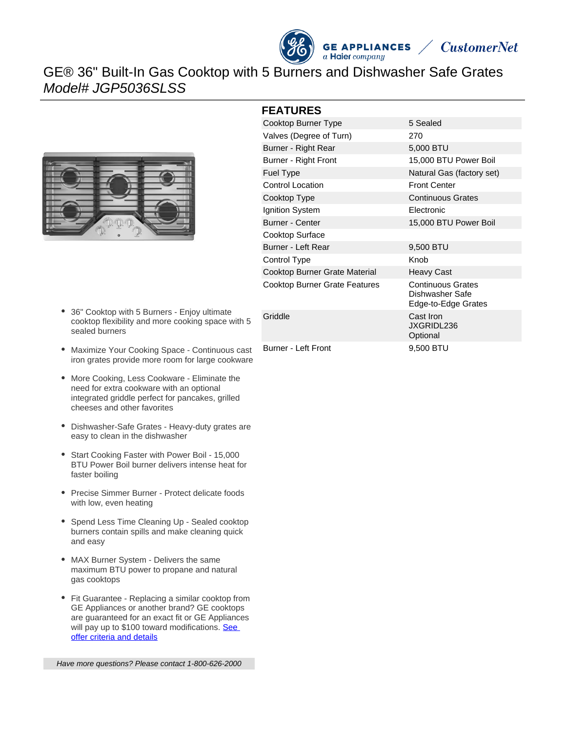



## GE® 36" Built-In Gas Cooktop with 5 Burners and Dishwasher Safe Grates Model# JGP5036SLSS



- 36" Cooktop with 5 Burners Enjoy ultimate cooktop flexibility and more cooking space with 5 sealed burners
- Maximize Your Cooking Space Continuous cast iron grates provide more room for large cookware
- More Cooking, Less Cookware Eliminate the need for extra cookware with an optional integrated griddle perfect for pancakes, grilled cheeses and other favorites
- Dishwasher-Safe Grates Heavy-duty grates are easy to clean in the dishwasher
- Start Cooking Faster with Power Boil 15,000 BTU Power Boil burner delivers intense heat for faster boiling
- Precise Simmer Burner Protect delicate foods with low, even heating
- Spend Less Time Cleaning Up Sealed cooktop burners contain spills and make cleaning quick and easy
- MAX Burner System Delivers the same maximum BTU power to propane and natural gas cooktops
- Fit Guarantee Replacing a similar cooktop from GE Appliances or another brand? GE cooktops are guaranteed for an exact fit or GE Appliances will pay up to \$100 toward modifications. See [offer criteria and details](http://www.geappliances.com/ge/cooktops/built_in_cooktop_rebate.pdf)

Have more questions? Please contact 1-800-626-2000

#### **FEATURES**

| Cooktop Burner Type                  | 5 Sealed                                                           |
|--------------------------------------|--------------------------------------------------------------------|
| Valves (Degree of Turn)              | 270                                                                |
| Burner - Right Rear                  | 5,000 BTU                                                          |
| Burner - Right Front                 | 15,000 BTU Power Boil                                              |
| <b>Fuel Type</b>                     | Natural Gas (factory set)                                          |
| <b>Control Location</b>              | <b>Front Center</b>                                                |
| Cooktop Type                         | <b>Continuous Grates</b>                                           |
| Ignition System                      | <b>Electronic</b>                                                  |
| <b>Burner - Center</b>               | 15,000 BTU Power Boil                                              |
| Cooktop Surface                      |                                                                    |
| Burner - Left Rear                   | 9,500 BTU                                                          |
| Control Type                         | Knob                                                               |
| Cooktop Burner Grate Material        | <b>Heavy Cast</b>                                                  |
| <b>Cooktop Burner Grate Features</b> | <b>Continuous Grates</b><br>Dishwasher Safe<br>Edge-to-Edge Grates |
| Griddle                              | Cast Iron<br>JXGRIDL236<br>Optional                                |
| <b>Burner - Left Front</b>           | 9,500 BTU                                                          |